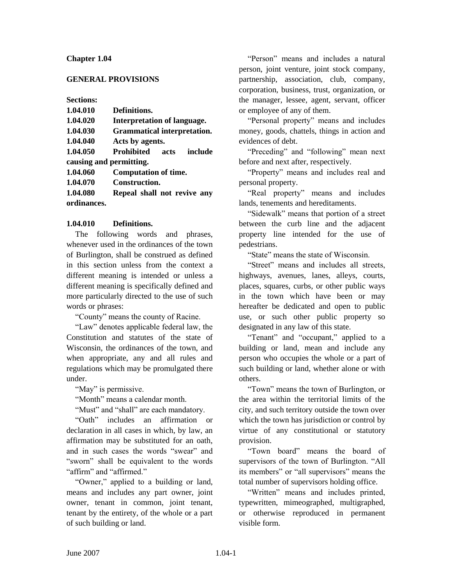### **Chapter 1.04**

### **GENERAL PROVISIONS**

**Sections:**

| 1.04.010                | Definitions.                         |
|-------------------------|--------------------------------------|
| 1.04.020                | <b>Interpretation of language.</b>   |
| 1.04.030                | <b>Grammatical interpretation.</b>   |
| 1.04.040                | Acts by agents.                      |
| 1.04.050                | <b>Prohibited</b><br>include<br>acts |
| causing and permitting. |                                      |
| 1.04.060                | <b>Computation of time.</b>          |
| 1.04.070                | <b>Construction.</b>                 |
| 1.04.080                | Repeal shall not revive any          |
| ordinances.             |                                      |

### **1.04.010 Definitions.**

The following words and phrases, whenever used in the ordinances of the town of Burlington, shall be construed as defined in this section unless from the context a different meaning is intended or unless a different meaning is specifically defined and more particularly directed to the use of such words or phrases:

"County" means the county of Racine.

"Law" denotes applicable federal law, the Constitution and statutes of the state of Wisconsin, the ordinances of the town, and when appropriate, any and all rules and regulations which may be promulgated there under.

"May" is permissive.

"Month" means a calendar month.

"Must" and "shall" are each mandatory.

"Oath" includes an affirmation or declaration in all cases in which, by law, an affirmation may be substituted for an oath, and in such cases the words "swear" and "sworn" shall be equivalent to the words "affirm" and "affirmed."

"Owner," applied to a building or land, means and includes any part owner, joint owner, tenant in common, joint tenant, tenant by the entirety, of the whole or a part of such building or land.

"Person" means and includes a natural person, joint venture, joint stock company, partnership, association, club, company, corporation, business, trust, organization, or the manager, lessee, agent, servant, officer or employee of any of them.

"Personal property" means and includes money, goods, chattels, things in action and evidences of debt.

"Preceding" and "following" mean next before and next after, respectively.

"Property" means and includes real and personal property.

"Real property" means and includes lands, tenements and hereditaments.

"Sidewalk" means that portion of a street between the curb line and the adjacent property line intended for the use of pedestrians.

"State" means the state of Wisconsin.

"Street" means and includes all streets, highways, avenues, lanes, alleys, courts, places, squares, curbs, or other public ways in the town which have been or may hereafter be dedicated and open to public use, or such other public property so designated in any law of this state.

"Tenant" and "occupant," applied to a building or land, mean and include any person who occupies the whole or a part of such building or land, whether alone or with others.

"Town" means the town of Burlington, or the area within the territorial limits of the city, and such territory outside the town over which the town has jurisdiction or control by virtue of any constitutional or statutory provision.

"Town board" means the board of supervisors of the town of Burlington. "All its members" or "all supervisors" means the total number of supervisors holding office.

"Written" means and includes printed, typewritten, mimeographed, multigraphed, or otherwise reproduced in permanent visible form.